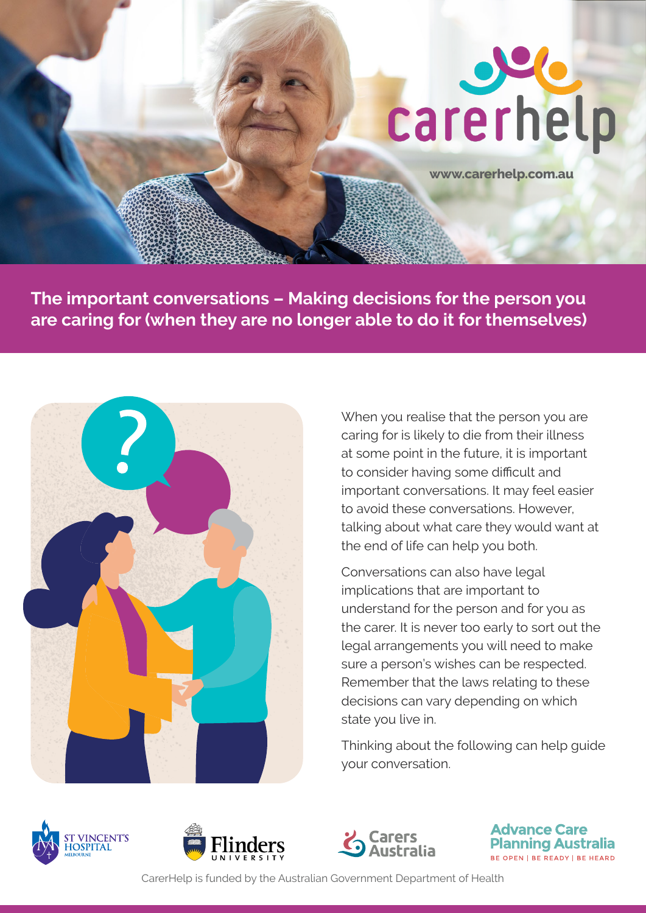

**[www.carerhelp.com.au](http://www.carerhelp.com.au)**

**The important conversations – Making decisions for the person you are caring for (when they are no longer able to do it for themselves)** 



When you realise that the person you are caring for is likely to die from their illness at some point in the future, it is important to consider having some difficult and important conversations. It may feel easier to avoid these conversations. However, talking about what care they would want at the end of life can help you both.

Conversations can also have legal implications that are important to understand for the person and for you as the carer. It is never too early to sort out the legal arrangements you will need to make sure a person's wishes can be respected. Remember that the laws relating to these decisions can vary depending on which state you live in.

Thinking about the following can help guide your conversation.







**Advance Care Planning Australia** BE OPEN | BE READY | BE HEARD

CarerHelp is funded by the Australian Government Department of Health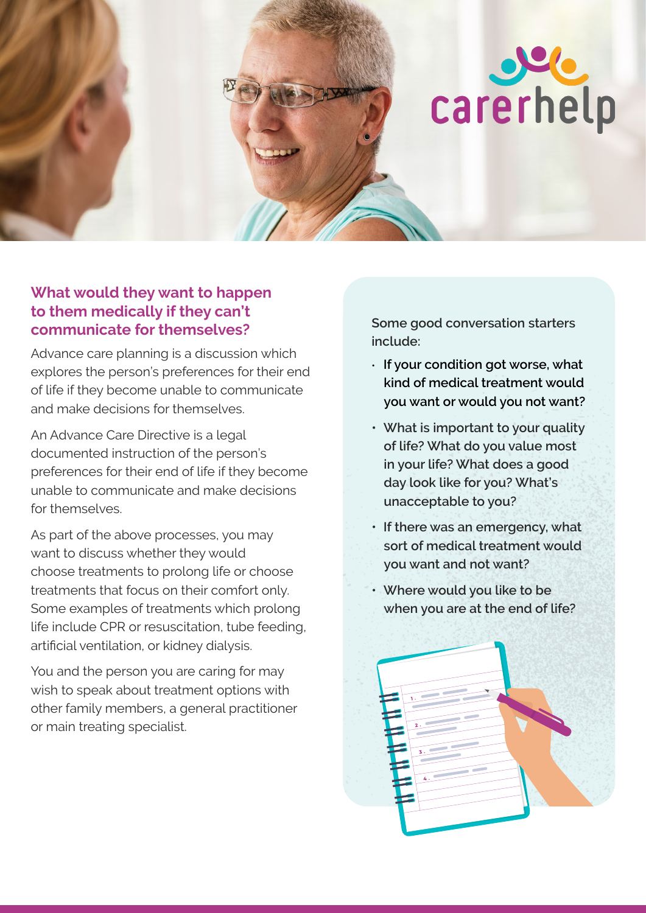

## **What would they want to happen to them medically if they can't communicate for themselves?**

Advance care planning is a discussion which explores the person's preferences for their end of life if they become unable to communicate and make decisions for themselves.

An Advance Care Directive is a legal documented instruction of the person's preferences for their end of life if they become unable to communicate and make decisions for themselves.

As part of the above processes, you may want to discuss whether they would choose treatments to prolong life or choose treatments that focus on their comfort only. Some examples of treatments which prolong life include CPR or resuscitation, tube feeding, artificial ventilation, or kidney dialysis.

You and the person you are caring for may wish to speak about treatment options with other family members, a general practitioner or main treating specialist.

**Some good conversation starters include:** 

- **If your condition got worse, what kind of medical treatment would you want or would you not want?**
- **What is important to your quality of life? What do you value most in your life? What does a good day look like for you? What's unacceptable to you?**
- **If there was an emergency, what sort of medical treatment would you want and not want?**
- **Where would you like to be when you are at the end of life?**

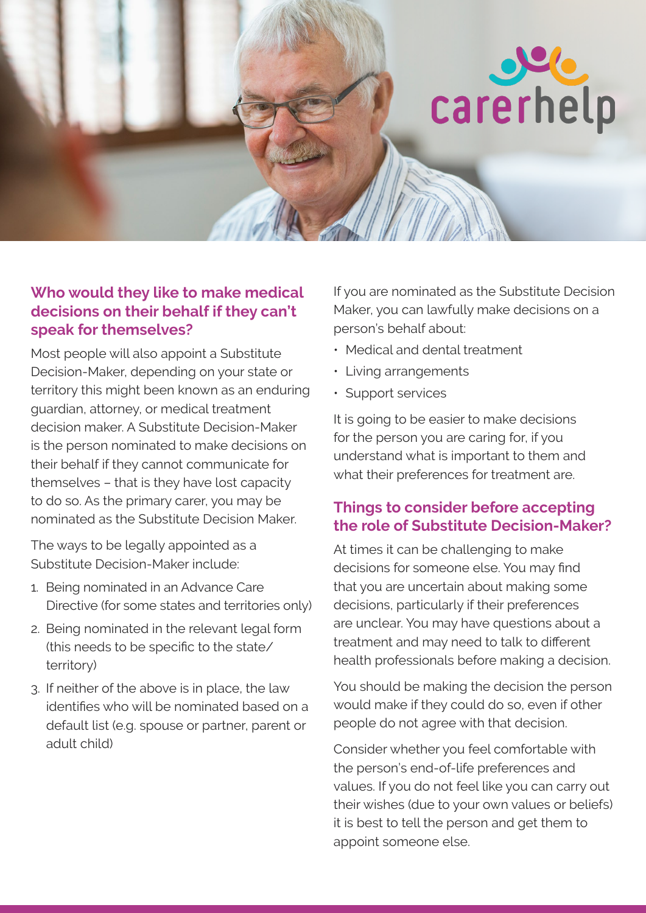

## **Who would they like to make medical decisions on their behalf if they can't speak for themselves?**

Most people will also appoint a Substitute Decision-Maker, depending on your state or territory this might been known as an enduring guardian, attorney, or medical treatment decision maker. A Substitute Decision-Maker is the person nominated to make decisions on their behalf if they cannot communicate for themselves – that is they have lost capacity to do so. As the primary carer, you may be nominated as the Substitute Decision Maker.

The ways to be legally appointed as a Substitute Decision-Maker include:

- 1. Being nominated in an Advance Care Directive (for some states and territories only)
- 2. Being nominated in the relevant legal form (this needs to be specific to the state/ territory)
- 3. If neither of the above is in place, the law identifies who will be nominated based on a default list (e.g. spouse or partner, parent or adult child)

If you are nominated as the Substitute Decision Maker, you can lawfully make decisions on a person's behalf about:

- Medical and dental treatment
- Living arrangements
- Support services

It is going to be easier to make decisions for the person you are caring for, if you understand what is important to them and what their preferences for treatment are.

# **Things to consider before accepting the role of Substitute Decision-Maker?**

At times it can be challenging to make decisions for someone else. You may find that you are uncertain about making some decisions, particularly if their preferences are unclear. You may have questions about a treatment and may need to talk to different health professionals before making a decision.

You should be making the decision the person would make if they could do so, even if other people do not agree with that decision.

 Consider whether you feel comfortable with the person's end-of-life preferences and values. If you do not feel like you can carry out their wishes (due to your own values or beliefs) it is best to tell the person and get them to appoint someone else.